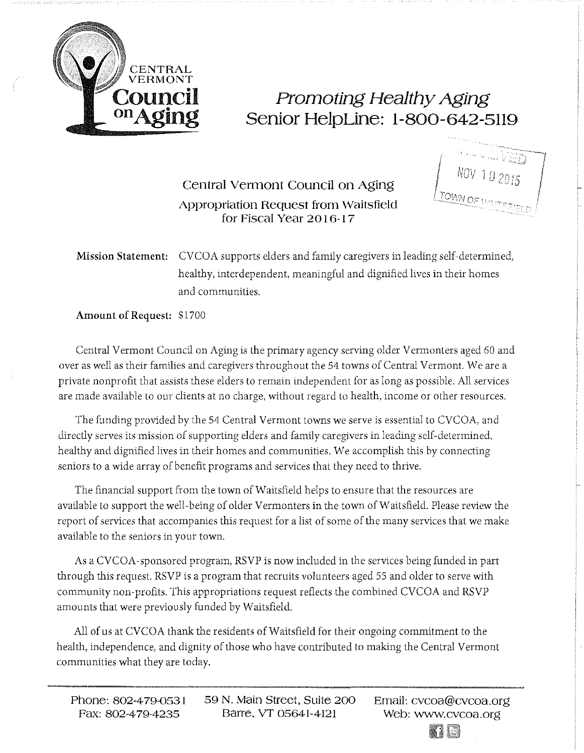

## on Aging Promoting Healthy Aging Senior HelpLine: 1-800-642-5119

Central Vermont Council on Aging Appropriation Request from Waitsfield for Fiscal Year 2016-17

Mission Statement: CVCOA supports elders and family caregivers in leading self-determined, healthy, interdependent, meaningful and dignified lives in their homes and communities.

Amount of Request: \$1700

Central Vermont Council on Aging is the primary agency serving older Vermonters aged 60 and over as well as their families and caregivers throughout the 54 towns of Central Vermont. We are a private nonprofit that assists these elders to remain independent for as long as possible. All services are made available to our clients at no charge, without regard to health, income or other resources.

The funding provided by the 54 Central Vermont towns *we* serve is essential to CVCOA, and directly serves its mission of supporting elders and family caregivers in leading self-determined, healthy and dignified lives in their homes and communities. We accomplish this by connecting seniors to a wide array of benefit programs and services that they need to thrive.

The financial support from the town of Waitsfield helps to ensure that the resources are available to support the well-being of older Vermonters in the town of Waitsfield. Please review the report of services that accompanies this request for a list of some of the many services that we make available to the seniors in your town.

As a CVCOA-sponsored program, RSVP is now included in the services being funded in part through this request. RSVP is a program that recruits volunteers aged 55 and older to serve with community non-profits. This appropriations request reflects the combined CVCOA and RSVP amounts that were previously funded by Waitsfield.

All of us at CVCOA thank the residents of Waitsfield for their ongoing commitment to the health, independence, and dignity of those who have contributed to making the Central Vermont communities what they are today.

Email: cvcoa@cvcoa.org Web: www.cvcoa.org<br> **II E**